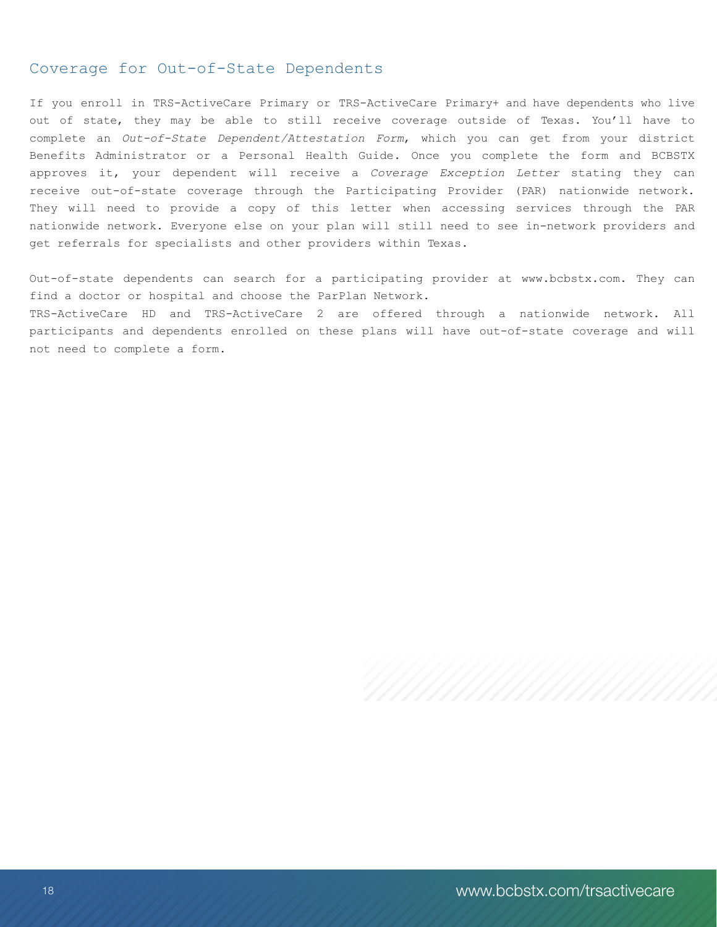## Coverage for Out-of-State Dependents

If you enroll in TRS-ActiveCare Primary or TRS-ActiveCare Primary+ and have dependents who live out of state, they may be able to still receive coverage outside of Texas. You'll have to complete an *Out-of-State Dependent/Attestation Form*, which you can get from your district Benefits Administrator or a Personal Health Guide. Once you complete the form and BCBSTX approves it, your dependent will receive a *Coverage Exception Letter* stating they can receive out-of-state coverage through the Participating Provider (PAR) nationwide network. They will need to provide a copy of this letter when accessing services through the PAR nationwide network. Everyone else on your plan will still need to see in-network providers and get referrals for specialists and other providers within Texas.

Out-of-state dependents can search for a participating provider at www.bcbstx.com. They can find a doctor or hospital and choose the ParPlan Network. TRS-ActiveCare HD and TRS-ActiveCare 2 are offered through a nationwide network. All participants and dependents enrolled on these plans will have out-of-state coverage and will not need to complete a form.